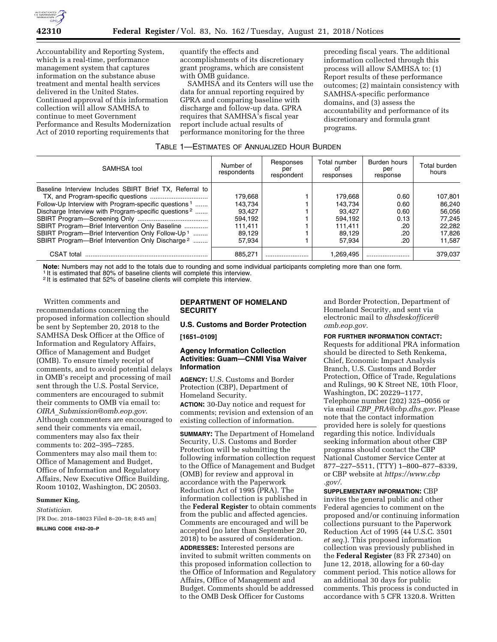

Accountability and Reporting System, which is a real-time, performance management system that captures information on the substance abuse treatment and mental health services delivered in the United States. Continued approval of this information collection will allow SAMHSA to continue to meet Government Performance and Results Modernization Act of 2010 reporting requirements that

quantify the effects and accomplishments of its discretionary grant programs, which are consistent with OMB guidance.

SAMHSA and its Centers will use the data for annual reporting required by GPRA and comparing baseline with discharge and follow-up data. GPRA requires that SAMHSA's fiscal year report include actual results of performance monitoring for the three

preceding fiscal years. The additional information collected through this process will allow SAMHSA to: (1) Report results of these performance outcomes; (2) maintain consistency with SAMHSA-specific performance domains, and (3) assess the accountability and performance of its discretionary and formula grant programs.

| Table 1—Estimates of Annualized Hour Burden |
|---------------------------------------------|
|---------------------------------------------|

| SAMHSA tool                                                      | Number of<br>respondents | Responses<br>per<br>respondent | Total number<br>Ωt<br>responses | Burden hours<br>per<br>response | Total burden<br>hours |
|------------------------------------------------------------------|--------------------------|--------------------------------|---------------------------------|---------------------------------|-----------------------|
| Baseline Interview Includes SBIRT Brief TX, Referral to          |                          |                                |                                 |                                 |                       |
|                                                                  | 179.668                  |                                | 179.668                         | 0.60                            | 107.801               |
| Follow-Up Interview with Program-specific questions <sup>1</sup> | 143.734                  |                                | 143.734                         | 0.60                            | 86.240                |
| Discharge Interview with Program-specific questions <sup>2</sup> | 93.427                   |                                | 93.427                          | 0.60                            | 56.056                |
|                                                                  | 594.192                  |                                | 594.192                         | 0.13                            | 77.245                |
| SBIRT Program-Brief Intervention Only Baseline                   | 111.411                  |                                | 111.411                         | .20                             | 22.282                |
| SBIRT Program-Brief Intervention Only Follow-Up <sup>1</sup>     | 89.129                   |                                | 89.129                          | .20                             | 17,826                |
| SBIRT Program—Brief Intervention Only Discharge <sup>2</sup>     | 57.934                   |                                | 57.934                          | .20                             | 11.587                |
| CSAT total                                                       | 885.271                  |                                | 1.269.495                       |                                 | 379.037               |

Note: Numbers may not add to the totals due to rounding and some individual participants completing more than one form.<br><sup>1</sup> It is estimated that 80% of baseline clients will complete this interview.

2 It is estimated that 52% of baseline clients will complete this interview.

Written comments and recommendations concerning the proposed information collection should be sent by September 20, 2018 to the SAMHSA Desk Officer at the Office of Information and Regulatory Affairs, Office of Management and Budget (OMB). To ensure timely receipt of comments, and to avoid potential delays in OMB's receipt and processing of mail sent through the U.S. Postal Service, commenters are encouraged to submit their comments to OMB via email to: *OIRA*\_*[Submission@omb.eop.gov](mailto:OIRA_Submission@omb.eop.gov)*. Although commenters are encouraged to send their comments via email, commenters may also fax their comments to: 202–395–7285. Commenters may also mail them to: Office of Management and Budget, Office of Information and Regulatory Affairs, New Executive Office Building, Room 10102, Washington, DC 20503.

#### **Summer King,**

*Statistician.* 

[FR Doc. 2018–18023 Filed 8–20–18; 8:45 am]

**BILLING CODE 4162–20–P** 

### **DEPARTMENT OF HOMELAND SECURITY**

### **U.S. Customs and Border Protection**

**[1651–0109]** 

# **Agency Information Collection Activities: Guam—CNMI Visa Waiver Information**

**AGENCY:** U.S. Customs and Border Protection (CBP), Department of Homeland Security.

**ACTION:** 30-Day notice and request for comments; revision and extension of an existing collection of information.

**SUMMARY:** The Department of Homeland Security, U.S. Customs and Border Protection will be submitting the following information collection request to the Office of Management and Budget (OMB) for review and approval in accordance with the Paperwork Reduction Act of 1995 (PRA). The information collection is published in the **Federal Register** to obtain comments from the public and affected agencies. Comments are encouraged and will be accepted (no later than September 20, 2018) to be assured of consideration.

**ADDRESSES:** Interested persons are invited to submit written comments on this proposed information collection to the Office of Information and Regulatory Affairs, Office of Management and Budget. Comments should be addressed to the OMB Desk Officer for Customs

and Border Protection, Department of Homeland Security, and sent via electronic mail to *[dhsdeskofficer@](mailto:dhsdeskofficer@omb.eop.gov) [omb.eop.gov](mailto:dhsdeskofficer@omb.eop.gov)*.

### **FOR FURTHER INFORMATION CONTACT:**

Requests for additional PRA information should be directed to Seth Renkema, Chief, Economic Impact Analysis Branch, U.S. Customs and Border Protection, Office of Trade, Regulations and Rulings, 90 K Street NE, 10th Floor, Washington, DC 20229–1177, Telephone number (202) 325–0056 or via email *CBP*\_*[PRA@cbp.dhs.gov](mailto:CBP_PRA@cbp.dhs.gov)*. Please note that the contact information provided here is solely for questions regarding this notice. Individuals seeking information about other CBP programs should contact the CBP National Customer Service Center at 877–227–5511, (TTY) 1–800–877–8339, or CBP website at *[https://www.cbp](https://www.cbp.gov/) [.gov/](https://www.cbp.gov/)*.

**SUPPLEMENTARY INFORMATION:** CBP invites the general public and other Federal agencies to comment on the proposed and/or continuing information collections pursuant to the Paperwork Reduction Act of 1995 (44 U.S.C. 3501 *et seq.*). This proposed information collection was previously published in the **Federal Register** (83 FR 27340) on June 12, 2018, allowing for a 60-day comment period. This notice allows for an additional 30 days for public comments. This process is conducted in accordance with 5 CFR 1320.8. Written